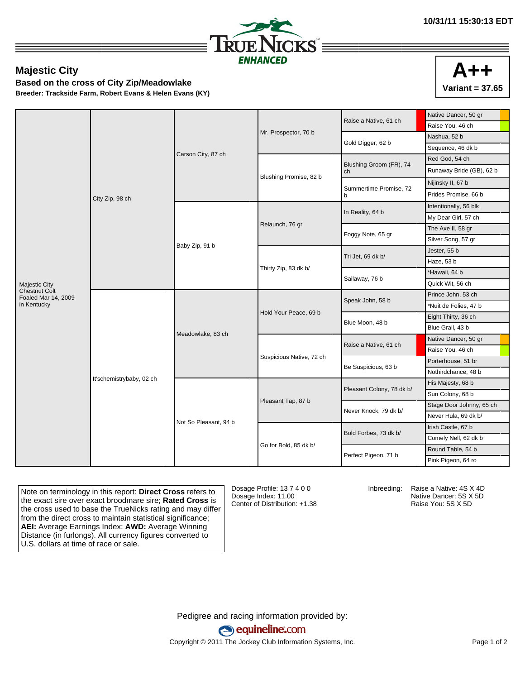

## **Majestic City**

**Based on the cross of City Zip/Meadowlake**

**Breeder: Trackside Farm, Robert Evans & Helen Evans (KY)**

|                                             | City Zip, 98 ch          | Carson City, 87 ch    |                          | Raise a Native, 61 ch         | Native Dancer, 50 gr     |
|---------------------------------------------|--------------------------|-----------------------|--------------------------|-------------------------------|--------------------------|
|                                             |                          |                       | Mr. Prospector, 70 b     |                               | Raise You, 46 ch         |
|                                             |                          |                       |                          | Gold Digger, 62 b             | Nashua, 52 b             |
|                                             |                          |                       |                          |                               | Sequence, 46 dk b        |
|                                             |                          |                       |                          | Blushing Groom (FR), 74<br>ch | Red God, 54 ch           |
|                                             |                          |                       | Blushing Promise, 82 b   |                               | Runaway Bride (GB), 62 b |
|                                             |                          |                       |                          | Summertime Promise, 72<br>b   | Nijinsky II, 67 b        |
|                                             |                          |                       |                          |                               | Prides Promise, 66 b     |
|                                             |                          | Baby Zip, 91 b        | Relaunch, 76 gr          | In Reality, 64 b              | Intentionally, 56 blk    |
|                                             |                          |                       |                          |                               | My Dear Girl, 57 ch      |
|                                             |                          |                       |                          | Foggy Note, 65 gr             | The Axe II, 58 gr        |
|                                             |                          |                       |                          |                               | Silver Song, 57 gr       |
|                                             |                          |                       | Thirty Zip, 83 dk b/     | Tri Jet, 69 dk b/             | Jester, 55 b             |
|                                             |                          |                       |                          |                               | Haze, 53 b               |
|                                             |                          |                       |                          | Sailaway, 76 b                | *Hawaii, 64 b            |
| <b>Majestic City</b>                        |                          |                       |                          |                               | Quick Wit, 56 ch         |
| <b>Chestnut Colt</b><br>Foaled Mar 14, 2009 | It'schemistrybaby, 02 ch | Meadowlake, 83 ch     | Hold Your Peace, 69 b    | Speak John, 58 b              | Prince John, 53 ch       |
| in Kentucky                                 |                          |                       |                          |                               | *Nuit de Folies, 47 b    |
|                                             |                          |                       |                          | Blue Moon, 48 b               | Eight Thirty, 36 ch      |
|                                             |                          |                       |                          |                               | Blue Grail, 43 b         |
|                                             |                          |                       | Suspicious Native, 72 ch | Raise a Native, 61 ch         | Native Dancer, 50 gr     |
|                                             |                          |                       |                          |                               | Raise You, 46 ch         |
|                                             |                          |                       |                          | Be Suspicious, 63 b           | Porterhouse, 51 br       |
|                                             |                          |                       |                          |                               | Nothirdchance, 48 b      |
|                                             |                          | Not So Pleasant, 94 b | Pleasant Tap, 87 b       | Pleasant Colony, 78 dk b/     | His Majesty, 68 b        |
|                                             |                          |                       |                          |                               | Sun Colony, 68 b         |
|                                             |                          |                       |                          | Never Knock, 79 dk b/         | Stage Door Johnny, 65 ch |
|                                             |                          |                       |                          |                               | Never Hula, 69 dk b/     |
|                                             |                          |                       |                          | Bold Forbes, 73 dk b/         | Irish Castle, 67 b       |
|                                             |                          |                       | Go for Bold, 85 dk b/    |                               | Comely Nell, 62 dk b     |
|                                             |                          |                       |                          | Perfect Pigeon, 71 b          | Round Table, 54 b        |
|                                             |                          |                       |                          |                               | Pink Pigeon, 64 ro       |

Note on terminology in this report: **Direct Cross** refers to the exact sire over exact broodmare sire; **Rated Cross** is the cross used to base the TrueNicks rating and may differ from the direct cross to maintain statistical significance; **AEI:** Average Earnings Index; **AWD:** Average Winning Distance (in furlongs). All currency figures converted to U.S. dollars at time of race or sale.

Dosage Profile: 13 7 4 0 0 Dosage Index: 11.00 Center of Distribution: +1.38

Inbreeding: Raise a Native: 4S X 4D Native Dancer: 5S X 5D Raise You: 5S X 5D

Pedigree and racing information provided by: equineline.com Copyright © 2011 The Jockey Club Information Systems, Inc. example 2012 Page 1 of 2